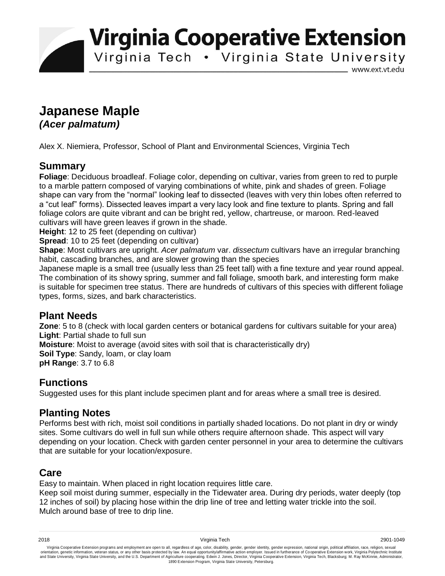**Virginia Cooperative Extension** 

Virginia Tech . Virginia State University

www.ext.vt.edu

# **Japanese Maple**  *(Acer palmatum)*

Alex X. Niemiera, Professor, School of Plant and Environmental Sciences, Virginia Tech

# **Summary**

**Foliage**: Deciduous broadleaf. Foliage color, depending on cultivar, varies from green to red to purple to a marble pattern composed of varying combinations of white, pink and shades of green. Foliage shape can vary from the "normal" looking leaf to dissected (leaves with very thin lobes often referred to a "cut leaf" forms). Dissected leaves impart a very lacy look and fine texture to plants. Spring and fall foliage colors are quite vibrant and can be bright red, yellow, chartreuse, or maroon. Red-leaved cultivars will have green leaves if grown in the shade.

**Height**: 12 to 25 feet (depending on cultivar)

**Spread:** 10 to 25 feet (depending on cultivar)

**Shape**: Most cultivars are upright. *Acer palmatum* var. *dissectum* cultivars have an irregular branching habit, cascading branches, and are slower growing than the species

Japanese maple is a small tree (usually less than 25 feet tall) with a fine texture and year round appeal. The combination of its showy spring, summer and fall foliage, smooth bark, and interesting form make is suitable for specimen tree status. There are hundreds of cultivars of this species with different foliage types, forms, sizes, and bark characteristics.

### **Plant Needs**

**Zone**: 5 to 8 (check with local garden centers or botanical gardens for cultivars suitable for your area) **Light**: Partial shade to full sun **Moisture**: Moist to average (avoid sites with soil that is characteristically dry)

**Soil Type**: Sandy, loam, or clay loam

**pH Range**: 3.7 to 6.8

# **Functions**

Suggested uses for this plant include specimen plant and for areas where a small tree is desired.

# **Planting Notes**

Performs best with rich, moist soil conditions in partially shaded locations. Do not plant in dry or windy sites. Some cultivars do well in full sun while others require afternoon shade. This aspect will vary depending on your location. Check with garden center personnel in your area to determine the cultivars that are suitable for your location/exposure.

### **Care**

Easy to maintain. When placed in right location requires little care.

Keep soil moist during summer, especially in the Tidewater area. During dry periods, water deeply (top 12 inches of soil) by placing hose within the drip line of tree and letting water trickle into the soil. Mulch around base of tree to drip line.